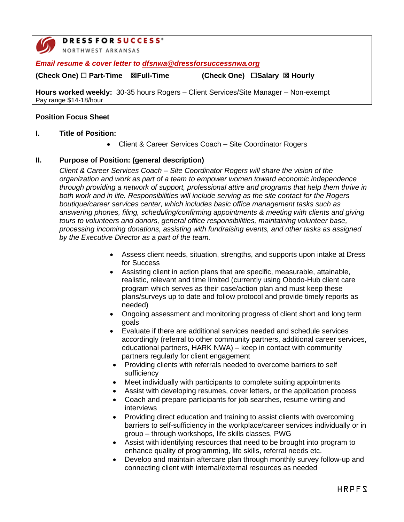

# **DRESSFORSUCCESS®**

NORTHWEST ARKANSAS

*Email resume & cover letter to [dfsnwa@dressforsuccessnwa.org](mailto:dfsnwa@dressforsuccessnwa.org)*

**(Check One) Part-Time Full-Time (Check One) Salary Hourly**

**Hours worked weekly:** 30-35 hours Rogers – Client Services/Site Manager – Non-exempt Pay range \$14-18/hour

## **Position Focus Sheet**

### **I. Title of Position:**

• Client & Career Services Coach – Site Coordinator Rogers

### **II. Purpose of Position: (general description)**

*Client & Career Services Coach – Site Coordinator Rogers will share the vision of the organization and work as part of a team to empower women toward economic independence through providing a network of support, professional attire and programs that help them thrive in both work and in life. Responsibilities will include serving as the site contact for the Rogers boutique/career services center, which includes basic office management tasks such as answering phones, filing, scheduling/confirming appointments & meeting with clients and giving tours to volunteers and donors, general office responsibilities, maintaining volunteer base, processing incoming donations, assisting with fundraising events, and other tasks as assigned by the Executive Director as a part of the team.* 

- Assess client needs, situation, strengths, and supports upon intake at Dress for Success
- Assisting client in action plans that are specific, measurable, attainable, realistic, relevant and time limited (currently using Obodo-Hub client care program which serves as their case/action plan and must keep these plans/surveys up to date and follow protocol and provide timely reports as needed)
- Ongoing assessment and monitoring progress of client short and long term goals
- Evaluate if there are additional services needed and schedule services accordingly (referral to other community partners, additional career services, educational partners, HARK NWA) – keep in contact with community partners regularly for client engagement
- Providing clients with referrals needed to overcome barriers to self sufficiency
- Meet individually with participants to complete suiting appointments
- Assist with developing resumes, cover letters, or the application process
- Coach and prepare participants for job searches, resume writing and interviews
- Providing direct education and training to assist clients with overcoming barriers to self-sufficiency in the workplace/career services individually or in group – through workshops, life skills classes, PWG
- Assist with identifying resources that need to be brought into program to enhance quality of programming, life skills, referral needs etc.
- Develop and maintain aftercare plan through monthly survey follow-up and connecting client with internal/external resources as needed